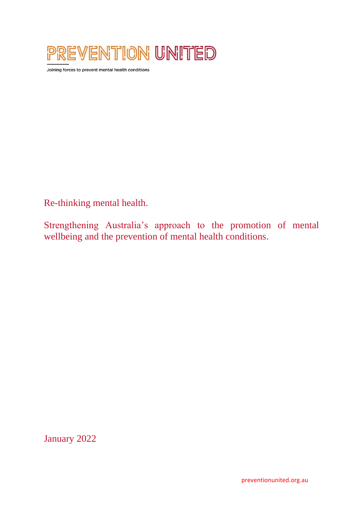

Joining forces to prevent mental health conditions

Re-thinking mental health.

Strengthening Australia's approach to the promotion of mental wellbeing and the prevention of mental health conditions.

January 2022

preventionunited.org.au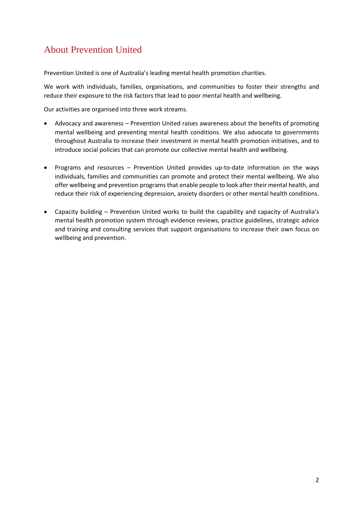# About Prevention United

Prevention United is one of Australia's leading mental health promotion charities.

We work with individuals, families, organisations, and communities to foster their strengths and reduce their exposure to the risk factors that lead to poor mental health and wellbeing.

Our activities are organised into three work streams.

- Advocacy and awareness Prevention United raises awareness about the benefits of promoting mental wellbeing and preventing mental health conditions. We also advocate to governments throughout Australia to increase their investment in mental health promotion initiatives, and to introduce social policies that can promote our collective mental health and wellbeing.
- Programs and resources Prevention United provides up-to-date information on the ways individuals, families and communities can promote and protect their mental wellbeing. We also offer wellbeing and prevention programs that enable people to look after their mental health, and reduce their risk of experiencing depression, anxiety disorders or other mental health conditions.
- Capacity building Prevention United works to build the capability and capacity of Australia's mental health promotion system through evidence reviews, practice guidelines, strategic advice and training and consulting services that support organisations to increase their own focus on wellbeing and prevention.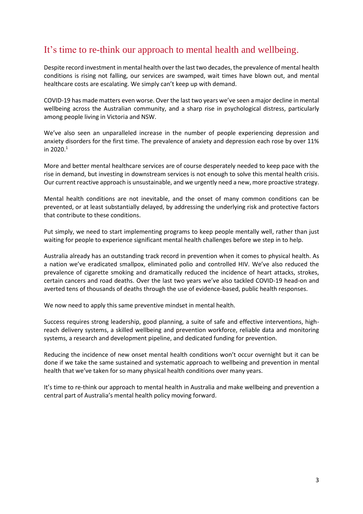## It's time to re-think our approach to mental health and wellbeing.

Despite record investment in mental health over the last two decades, the prevalence of mental health conditions is rising not falling, our services are swamped, wait times have blown out, and mental healthcare costs are escalating. We simply can't keep up with demand.

COVID-19 has made matters even worse. Over the last two years we've seen a major decline in mental wellbeing across the Australian community, and a sharp rise in psychological distress, particularly among people living in Victoria and NSW.

We've also seen an unparalleled increase in the number of people experiencing depression and anxiety disorders for the first time. The prevalence of anxiety and depression each rose by over 11% in  $2020.<sup>1</sup>$ 

More and better mental healthcare services are of course desperately needed to keep pace with the rise in demand, but investing in downstream services is not enough to solve this mental health crisis. Our current reactive approach is unsustainable, and we urgently need a new, more proactive strategy.

Mental health conditions are not inevitable, and the onset of many common conditions can be prevented, or at least substantially delayed, by addressing the underlying risk and protective factors that contribute to these conditions.

Put simply, we need to start implementing programs to keep people mentally well, rather than just waiting for people to experience significant mental health challenges before we step in to help.

Australia already has an outstanding track record in prevention when it comes to physical health. As a nation we've eradicated smallpox, eliminated polio and controlled HIV. We've also reduced the prevalence of cigarette smoking and dramatically reduced the incidence of heart attacks, strokes, certain cancers and road deaths. Over the last two years we've also tackled COVID-19 head-on and averted tens of thousands of deaths through the use of evidence-based, public health responses.

We now need to apply this same preventive mindset in mental health.

Success requires strong leadership, good planning, a suite of safe and effective interventions, highreach delivery systems, a skilled wellbeing and prevention workforce, reliable data and monitoring systems, a research and development pipeline, and dedicated funding for prevention.

Reducing the incidence of new onset mental health conditions won't occur overnight but it can be done if we take the same sustained and systematic approach to wellbeing and prevention in mental health that we've taken for so many physical health conditions over many years.

It's time to re-think our approach to mental health in Australia and make wellbeing and prevention a central part of Australia's mental health policy moving forward.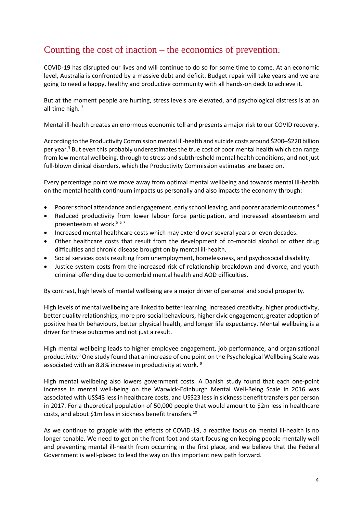## Counting the cost of inaction – the economics of prevention.

COVID-19 has disrupted our lives and will continue to do so for some time to come. At an economic level, Australia is confronted by a massive debt and deficit. Budget repair will take years and we are going to need a happy, healthy and productive community with all hands-on deck to achieve it.

But at the moment people are hurting, stress levels are elevated, and psychological distress is at an all-time high. 2

Mental ill-health creates an enormous economic toll and presents a major risk to our COVID recovery.

According to the Productivity Commission mental ill-health and suicide costs around \$200–\$220 billion per year.<sup>3</sup> But even this probably underestimates the true cost of poor mental health which can range from low mental wellbeing, through to stress and subthreshold mental health conditions, and not just full-blown clinical disorders, which the Productivity Commission estimates are based on.

Every percentage point we move away from optimal mental wellbeing and towards mental ill-health on the mental health continuum impacts us personally and also impacts the economy through:

- Poorer school attendance and engagement, early school leaving, and poorer academic outcomes.<sup>4</sup>
- Reduced productivity from lower labour force participation, and increased absenteeism and presenteeism at work.<sup>567</sup>
- Increased mental healthcare costs which may extend over several years or even decades.
- Other healthcare costs that result from the development of co-morbid alcohol or other drug difficulties and chronic disease brought on by mental ill-health.
- Social services costs resulting from unemployment, homelessness, and psychosocial disability.
- Justice system costs from the increased risk of relationship breakdown and divorce, and youth criminal offending due to comorbid mental health and AOD difficulties.

By contrast, high levels of mental wellbeing are a major driver of personal and social prosperity.

High levels of mental wellbeing are linked to better learning, increased creativity, higher productivity, better quality relationships, more pro-social behaviours, higher civic engagement, greater adoption of positive health behaviours, better physical health, and longer life expectancy. Mental wellbeing is a driver for these outcomes and not just a result.

High mental wellbeing leads to higher employee engagement, job performance, and organisational productivity.<sup>8</sup> One study found that an increase of one point on the Psychological Wellbeing Scale was associated with an 8.8% increase in productivity at work. <sup>9</sup>

High mental wellbeing also lowers government costs. A Danish study found that each one-point increase in mental well-being on the Warwick-Edinburgh Mental Well-Being Scale in 2016 was associated with US\$43 less in healthcare costs, and US\$23 less in sickness benefit transfers per person in 2017. For a theoretical population of 50,000 people that would amount to \$2m less in healthcare costs, and about \$1m less in sickness benefit transfers.<sup>10</sup>

As we continue to grapple with the effects of COVID-19, a reactive focus on mental ill-health is no longer tenable. We need to get on the front foot and start focusing on keeping people mentally well and preventing mental ill-health from occurring in the first place, and we believe that the Federal Government is well-placed to lead the way on this important new path forward.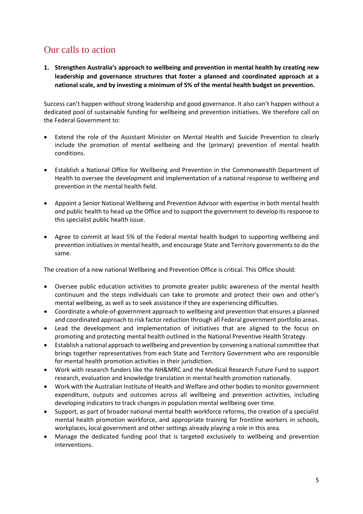### Our calls to action

**1. Strengthen Australia's approach to wellbeing and prevention in mental health by creating new leadership and governance structures that foster a planned and coordinated approach at a national scale, and by investing a minimum of 5% of the mental health budget on prevention.** 

Success can't happen without strong leadership and good governance. It also can't happen without a dedicated pool of sustainable funding for wellbeing and prevention initiatives. We therefore call on the Federal Government to:

- Extend the role of the Assistant Minister on Mental Health and Suicide Prevention to clearly include the promotion of mental wellbeing and the (primary) prevention of mental health conditions.
- Establish a National Office for Wellbeing and Prevention in the Commonwealth Department of Health to oversee the development and implementation of a national response to wellbeing and prevention in the mental health field.
- Appoint a Senior National Wellbeing and Prevention Advisor with expertise in both mental health *and* public health to head up the Office and to support the government to develop its response to this specialist public health issue.
- Agree to commit at least 5% of the Federal mental health budget to supporting wellbeing and prevention initiatives in mental health, and encourage State and Territory governments to do the same.

The creation of a new national Wellbeing and Prevention Office is critical. This Office should:

- Oversee public education activities to promote greater public awareness of the mental health continuum and the steps individuals can take to promote and protect their own and other's mental wellbeing, as well as to seek assistance if they are experiencing difficulties.
- Coordinate a whole-of-government approach to wellbeing and prevention that ensures a planned and coordinated approach to risk factor reduction through all Federal government portfolio areas.
- Lead the development and implementation of initiatives that are aligned to the focus on promoting and protecting mental health outlined in the National Preventive Health Strategy.
- Establish a national approach to wellbeing and prevention by convening a national committee that brings together representatives from each State and Territory Government who are responsible for mental health promotion activities in their jurisdiction.
- Work with research funders like the NH&MRC and the Medical Research Future Fund to support research, evaluation and knowledge translation in mental health promotion nationally.
- Work with the Australian Institute of Health and Welfare and other bodies to monitor government expenditure, outputs and outcomes across all wellbeing and prevention activities, including developing indicators to track changes in population mental wellbeing over time.
- Support, as part of broader national mental health workforce reforms, the creation of a specialist mental health promotion workforce, and appropriate training for frontline workers in schools, workplaces, local government and other settings already playing a role in this area.
- Manage the dedicated funding pool that is targeted exclusively to wellbeing and prevention interventions.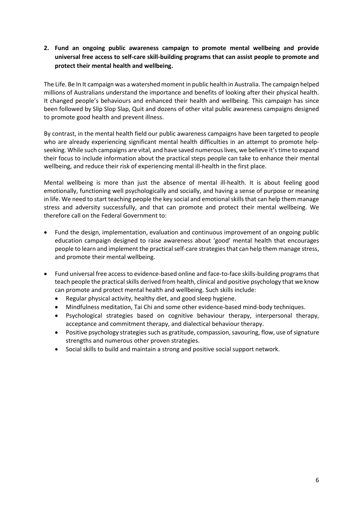**2. Fund an ongoing public awareness campaign to promote mental wellbeing and provide universal free access to self-care skill-building programs that can assist people to promote and protect their mental health and wellbeing.**

The Life. Be In It campaign was a watershed moment in public health in Australia. The campaign helped millions of Australians understand the importance and benefits of looking after their physical health. It changed people's behaviours and enhanced their health and wellbeing. This campaign has since been followed by Slip Slop Slap, Quit and dozens of other vital public awareness campaigns designed to promote good health and prevent illness.

By contrast, in the mental health field our public awareness campaigns have been targeted to people who are already experiencing significant mental health difficulties in an attempt to promote helpseeking. While such campaigns are vital, and have saved numerous lives, we believe it's time to expand their focus to include information about the practical steps people can take to enhance their mental wellbeing, and reduce their risk of experiencing mental ill-health in the first place.

Mental wellbeing is more than just the absence of mental ill-health. It is about feeling good emotionally, functioning well psychologically and socially, and having a sense of purpose or meaning in life. We need to start teaching people the key social and emotional skills that can help them manage stress and adversity successfully, and that can promote and protect their mental wellbeing. We therefore call on the Federal Government to:

- Fund the design, implementation, evaluation and continuous improvement of an ongoing public education campaign designed to raise awareness about 'good' mental health that encourages people to learn and implement the practical self-care strategies that can help them manage stress, and promote their mental wellbeing.
- Fund universal free access to evidence-based online and face-to-face skills-building programs that teach people the practical skills derived from health, clinical and positive psychology that we know can promote and protect mental health and wellbeing. Such skills include:
	- Regular physical activity, healthy diet, and good sleep hygiene.
	- Mindfulness meditation, Tai Chi and some other evidence-based mind-body techniques.
	- Psychological strategies based on cognitive behaviour therapy, interpersonal therapy, acceptance and commitment therapy, and dialectical behaviour therapy.
	- Positive psychology strategies such as gratitude, compassion, savouring, flow, use of signature strengths and numerous other proven strategies.
	- Social skills to build and maintain a strong and positive social support network.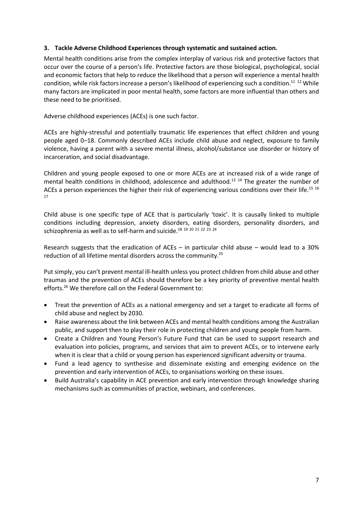#### **3. Tackle Adverse Childhood Experiences through systematic and sustained action.**

Mental health conditions arise from the complex interplay of various risk and protective factors that occur over the course of a person's life. Protective factors are those biological, psychological, social and economic factors that help to reduce the likelihood that a person will experience a mental health condition, while risk factors increase a person's likelihood of experiencing such a condition.<sup>11</sup> <sup>12</sup> While many factors are implicated in poor mental health, some factors are more influential than others and these need to be prioritised.

Adverse childhood experiences (ACEs) is one such factor.

ACEs are highly-stressful and potentially traumatic life experiences that effect children and young people aged 0–18. Commonly described ACEs include child abuse and neglect, exposure to family violence, having a parent with a severe mental illness, alcohol/substance use disorder or history of incarceration, and social disadvantage.

Children and young people exposed to one or more ACEs are at increased risk of a wide range of mental health conditions in childhood, adolescence and adulthood.<sup>13</sup> <sup>14</sup> The greater the number of ACEs a person experiences the higher their risk of experiencing various conditions over their life.<sup>15 16</sup> 17

Child abuse is one specific type of ACE that is particularly 'toxic'. It is causally linked to multiple conditions including depression, anxiety disorders, eating disorders, personality disorders, and schizophrenia as well as to self-harm and suicide.<sup>18</sup> <sup>19</sup> <sup>20</sup> <sup>21</sup> <sup>22</sup> <sup>23</sup> <sup>24</sup>

Research suggests that the eradication of ACEs – in particular child abuse – would lead to a 30% reduction of all lifetime mental disorders across the community.<sup>25</sup>

Put simply, you can't prevent mental ill-health unless you protect children from child abuse and other traumas and the prevention of ACEs should therefore be a key priority of preventive mental health efforts. <sup>26</sup> We therefore call on the Federal Government to:

- Treat the prevention of ACEs as a national emergency and set a target to eradicate all forms of child abuse and neglect by 2030.
- Raise awareness about the link between ACEs and mental health conditions among the Australian public, and support then to play their role in protecting children and young people from harm.
- Create a Children and Young Person's Future Fund that can be used to support research and evaluation into policies, programs, and services that aim to prevent ACEs, or to intervene early when it is clear that a child or young person has experienced significant adversity or trauma.
- Fund a lead agency to synthesise and disseminate existing and emerging evidence on the prevention and early intervention of ACEs, to organisations working on these issues.
- Build Australia's capability in ACE prevention and early intervention through knowledge sharing mechanisms such as communities of practice, webinars, and conferences.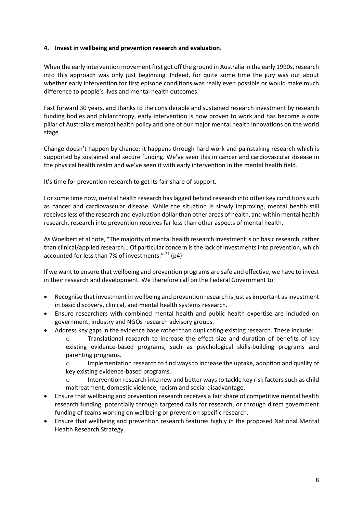#### **4. Invest in wellbeing and prevention research and evaluation.**

When the early intervention movement first got off the ground in Australia in the early 1990s, research into this approach was only just beginning. Indeed, for quite some time the jury was out about whether early intervention for first episode conditions was really even possible or would make much difference to people's lives and mental health outcomes.

Fast forward 30 years, and thanks to the considerable and sustained research investment by research funding bodies and philanthropy, early intervention is now proven to work and has become a core pillar of Australia's mental health policy and one of our major mental health innovations on the world stage.

Change doesn't happen by chance; it happens through hard work and painstaking research which is supported by sustained and secure funding. We've seen this in cancer and cardiovascular disease in the physical health realm and we've seen it with early intervention in the mental health field.

It's time for prevention research to get its fair share of support.

For some time now, mental health research has lagged behind research into other key conditions such as cancer and cardiovascular disease. While the situation is slowly improving, mental health still receives less of the research and evaluation dollar than other areas of health, and within mental health research, research into prevention receives far less than other aspects of mental health.

As Woelbert et al note, "The majority of mental health research investment is on basic research, rather than clinical/applied research… Of particular concern is the lack of investments into prevention, which accounted for less than 7% of investments."  $27$  (p4)

If we want to ensure that wellbeing and prevention programs are safe and effective, we have to invest in their research and development. We therefore call on the Federal Government to:

- Recognise that investment in wellbeing and prevention research is just as important as investment in basic discovery, clinical, and mental health systems research.
- Ensure researchers with combined mental health and public health expertise are included on government, industry and NGOs research advisory groups.
- Address key gaps in the evidence base rather than duplicating existing research. These include:
	- o Translational research to increase the effect size and duration of benefits of key existing evidence-based programs, such as psychological skills-building programs and parenting programs.

o Implementation research to find ways to increase the uptake, adoption and quality of key existing evidence-based programs.

- o Intervention research into new and better ways to tackle key risk factors such as child maltreatment, domestic violence, racism and social disadvantage.
- Ensure that wellbeing and prevention research receives a fair share of competitive mental health research funding, potentially through targeted calls for research, or through direct government funding of teams working on wellbeing or prevention specific research.
- Ensure that wellbeing and prevention research features highly in the proposed National Mental Health Research Strategy.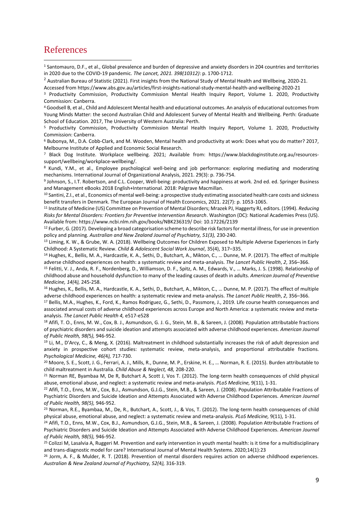#### References

<sup>1</sup> Santomauro, D.F., et al., Global prevalence and burden of depressive and anxiety disorders in 204 countries and territories in 2020 due to the COVID-19 pandemic. *The Lancet, 2021. 398(10312)*: p. 1700-1712.

<sup>2</sup> Australian Bureau of Statistic (2021). First insights from the National Study of Mental Health and Wellbeing, 2020-21.

Accessed from https://www.abs.gov.au/articles/first-insights-national-study-mental-health-and-wellbeing-2020-21

<sup>3</sup> Productivity Commission, Productivity Commission Mental Health Inquiry Report, Volume 1. 2020, Productivity Commission: Canberra.

<sup>4</sup> Goodsell B, et al., Child and Adolescent Mental health and educational outcomes. An analysis of educational outcomes from Young Minds Matter: the second Australian Child and Adolescent Survey of Mental Health and Wellbeing. Perth: Graduate School of Education. 2017, The University of Western Australia: Perth.

<sup>5</sup> Productivity Commission, Productivity Commission Mental Health Inquiry Report, Volume 1. 2020, Productivity Commission: Canberra.

<sup>6</sup> Bubonya, M., D.A. Cobb-Clark, and M. Wooden, Mental health and productivity at work: Does what you do matter? 2017, Melbourne Institute of Applied and Economic Social Research.

<sup>7</sup> Black Dog Institute. Workplace wellbeing. 2021; Available from: https://www.blackdoginstitute.org.au/resourcessupport/wellbeing/workplace-wellbeing/.

<sup>8</sup> Kundi, Y.M., et al., Employee psychological well-being and job performance: exploring mediating and moderating mechanisms. International Journal of Organizational Analysis, 2021. 29(3): p. 736-754.

9 Johnson, S., I.T. Robertson, and C.L. Cooper, Well-being: productivity and happiness at work. 2nd ed. ed. Springer Business and Management eBooks 2018 English+International. 2018: Palgrave Macmillan.

<sup>10</sup> Santini, Z.I., et al., Economics of mental well-being: a prospective study estimating associated health care costs and sickness benefit transfers in Denmark. The European Journal of Health Economics, 2021. 22(7): p. 1053-1065.

<sup>11</sup> Institute of Medicine (US) Committee on Prevention of Mental Disorders; Mrazek PJ, Haggerty RJ, editors. (1994). *Reducing Risks for Mental Disorders: Frontiers for Preventive Intervention Research*. Washington (DC): National Academies Press (US). Available from: https://www.ncbi.nlm.nih.gov/books/NBK236319/ Doi: 10.17226/2139

<sup>12</sup> Furber, G. (2017). Developing a broad categorisation scheme to describe risk factors for mental illness, for use in prevention policy and planning. *Australian and New Zealand Journal of Psychiatry, 51(3),* 230-240.

13 Liming, K. W., & Grube, W. A. (2018). Wellbeing Outcomes for Children Exposed to Multiple Adverse Experiences in Early Childhood: A Systematic Review. *Child & Adolescent Social Work Journal*, 35(4), 317–335.

<sup>14</sup> Hughes, K., Bellis, M. A., Hardcastle, K. A., Sethi, D., Butchart, A., Mikton, C., … Dunne, M. P. (2017). The effect of multiple adverse childhood experiences on health: a systematic review and meta-analysis. *The Lancet Public Health*, *2*, 356–366.

<sup>15</sup> Felitti, V. J., Anda, R. F., Nordenberg, D., Williamson, D. F., Spitz, A. M., Edwards, V., … Marks, J. S. (1998). Relationship of childhood abuse and household dysfunction to many of the leading causes of death in adults. *American Journal of Preventive Medicine, 14(*4*),* 245-258.

<sup>16</sup> Hughes, K., Bellis, M. A., Hardcastle, K. A., Sethi, D., Butchart, A., Mikton, C., … Dunne, M. P. (2017). The effect of multiple adverse childhood experiences on health: a systematic review and meta-analysis. *The Lancet Public Health*, *2*, 356–366.

<sup>17</sup> Bellis, M.A., Hughes, K., Ford, K., Ramos Rodriguez, G., Sethi, D., Passmore, J., 2019. Life course health consequences and associated annual costs of adverse childhood experiences across Europe and North America: a systematic review and metaanalysis. *The Lancet Public Health 4,* e517-e528

18 Afifi, T. O., Enns, M. W., Cox, B. J., Asmundson, G. J. G., Stein, M. B., & Sareen, J. (2008). Population attributable fractions of psychiatric disorders and suicide ideation and attempts associated with adverse childhood experiences. *American Journal of Public Health, 98(*5*),* 946-952.

 $19$  Li, M., D'Arcy, C., & Meng, X. (2016). Maltreatment in childhood substantially increases the risk of adult depression and anxiety in prospective cohort studies: systematic review, meta-analysis, and proportional attributable fractions. *Psychological Medicine, 46(*4*),* 717-730.

<sup>20</sup> Moore, S. E., Scott, J. G., Ferrari, A. J., Mills, R., Dunne, M. P., Erskine, H. E., … Norman, R. E. (2015). Burden attributable to child maltreatment in Australia. *Child Abuse & Neglect, 48,* 208-220.

<sup>21</sup> Norman RE, Byambaa M, De R, Butchart A, Scott J, Vos T. (2012). The long-term health consequences of child physical abuse, emotional abuse, and neglect: a systematic review and meta-analysis. *PLoS Medicine,* 9(11), 1-31.

<sup>22</sup> Afifi, T.O., Enns, M.W., Cox, B.J., Asmundson, G.J.G., Stein, M.B., & Sareen, J. (2008). Population Attributable Fractions of Psychiatric Disorders and Suicide Ideation and Attempts Associated with Adverse Childhood Experiences. *American Journal of Public Health, 98(5),* 946-952.

<sup>23</sup> Norman, R.E., Byambaa, M., De, R., Butchart, A., Scott, J., & Vos, T. (2012). The long-term health consequences of child physical abuse, emotional abuse, and neglect: a systematic review and meta-analysis. *PLoS Medicine,* 9(11), 1-31.

<sup>24</sup> Afifi, T.O., Enns, M.W., Cox, B.J., Asmundson, G.J.G., Stein, M.B., & Sareen, J. (2008). Population Attributable Fractions of Psychiatric Disorders and Suicide Ideation and Attempts Associated with Adverse Childhood Experiences. *American Journal of Public Health, 98(5),* 946-952.

<sup>25</sup> Colizzi M, Lasalvia A, Ruggeri M. Prevention and early intervention in youth mental health: is it time for a multidisciplinary and trans-diagnostic model for care? International Journal of Mental Health Systems. 2020;14(1):23

<sup>26</sup> Jorm, A. F., & Mulder, R. T. (2018). Prevention of mental disorders requires action on adverse childhood experiences. *Australian & New Zealand Journal of Psychiatry, 52(*4*),* 316-319.